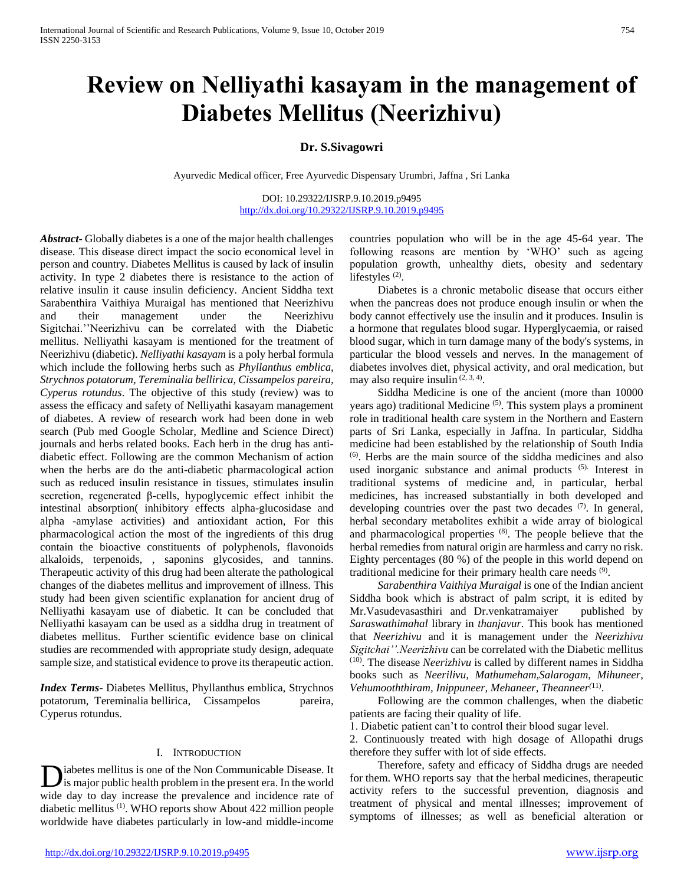# **Review on Nelliyathi kasayam in the management of Diabetes Mellitus (Neerizhivu)**

## **Dr. S.Sivagowri**

Ayurvedic Medical officer, Free Ayurvedic Dispensary Urumbri, Jaffna , Sri Lanka

DOI: 10.29322/IJSRP.9.10.2019.p9495 <http://dx.doi.org/10.29322/IJSRP.9.10.2019.p9495>

*Abstract***-** Globally diabetes is a one of the major health challenges disease. This disease direct impact the socio economical level in person and country. Diabetes Mellitus is caused by lack of insulin activity. In type 2 diabetes there is resistance to the action of relative insulin it cause insulin deficiency. Ancient Siddha text Sarabenthira Vaithiya Muraigal has mentioned that Neerizhivu and their management under the Neerizhivu Sigitchai.''Neerizhivu can be correlated with the Diabetic mellitus. Nelliyathi kasayam is mentioned for the treatment of Neerizhivu (diabetic). *Nelliyathi kasayam* is a poly herbal formula which include the following herbs such as *Phyllanthus emblica, Strychnos potatorum, Tereminalia bellirica, Cissampelos pareira, Cyperus rotundus*. The objective of this study (review) was to assess the efficacy and safety of Nelliyathi kasayam management of diabetes. A review of research work had been done in web search (Pub med Google Scholar, Medline and Science Direct) journals and herbs related books. Each herb in the drug has antidiabetic effect. Following are the common Mechanism of action when the herbs are do the anti-diabetic pharmacological action such as reduced insulin resistance in tissues, stimulates insulin secretion, regenerated β-cells, hypoglycemic effect inhibit the intestinal absorption( inhibitory effects alpha-glucosidase and alpha -amylase activities) and antioxidant action, For this pharmacological action the most of the ingredients of this drug contain the bioactive constituents of polyphenols, flavonoids alkaloids, terpenoids, , saponins glycosides, and tannins. Therapeutic activity of this drug had been alterate the pathological changes of the diabetes mellitus and improvement of illness. This study had been given scientific explanation for ancient drug of Nelliyathi kasayam use of diabetic. It can be concluded that Nelliyathi kasayam can be used as a siddha drug in treatment of diabetes mellitus. Further scientific evidence base on clinical studies are recommended with appropriate study design, adequate sample size, and statistical evidence to prove its therapeutic action.

*Index Terms*- Diabetes Mellitus, Phyllanthus emblica, Strychnos potatorum, Tereminalia bellirica, Cissampelos pareira, Cyperus rotundus.

## I. INTRODUCTION

iabetes mellitus is one of the Non Communicable Disease. It is major public health problem in the present era. In the world wide day to day increase the prevalence and incidence rate of diabetic mellitus (1). WHO reports show About 422 million people worldwide have diabetes particularly in low-and middle-income D

countries population who will be in the age 45-64 year. The following reasons are mention by 'WHO' such as ageing population growth, unhealthy diets, obesity and sedentary lifestyles<sup>(2)</sup>.

 Diabetes is a chronic metabolic disease that occurs either when the pancreas does not produce enough insulin or when the body cannot effectively use the insulin and it produces. Insulin is a hormone that regulates blood sugar. Hyperglycaemia, or raised blood sugar, which in turn damage many of the body's systems, in particular the blood vessels and nerves. In the management of diabetes involves diet, physical activity, and oral medication, but may also require insulin  $(2, 3, 4)$ .

 Siddha Medicine is one of the ancient (more than 10000 years ago) traditional Medicine<sup>(5)</sup>. This system plays a prominent role in traditional health care system in the Northern and Eastern parts of Sri Lanka, especially in Jaffna. In particular, Siddha medicine had been established by the relationship of South India (6). Herbs are the main source of the siddha medicines and also used inorganic substance and animal products (5). Interest in traditional systems of medicine and, in particular, herbal medicines, has increased substantially in both developed and developing countries over the past two decades (7). In general, herbal secondary metabolites exhibit a wide array of biological and pharmacological properties (8). The people believe that the herbal remedies from natural origin are harmless and carry no risk. Eighty percentages (80 %) of the people in this world depend on traditional medicine for their primary health care needs <sup>(9)</sup>.

 *Sarabenthira Vaithiya Muraigal* is one of the Indian ancient Siddha book which is abstract of palm script, it is edited by Mr.Vasudevasasthiri and Dr.venkatramaiyer published by *Saraswathimahal* library in *thanjavur*. This book has mentioned that *Neerizhivu* and it is management under the *Neerizhivu Sigitchai''.Neerizhivu* can be correlated with the Diabetic mellitus (10). The disease *Neerizhivu* is called by different names in Siddha books such as *Neerilivu, Mathumeham,Salarogam, Mihuneer, Vehumooththiram, Inippuneer, Mehaneer, Theanneer(*11) .

 Following are the common challenges, when the diabetic patients are facing their quality of life.

1. Diabetic patient can't to control their blood sugar level.

2. Continuously treated with high dosage of Allopathi drugs therefore they suffer with lot of side effects.

 Therefore, safety and efficacy of Siddha drugs are needed for them. WHO reports say that the herbal medicines, therapeutic activity refers to the successful prevention, diagnosis and treatment of physical and mental illnesses; improvement of symptoms of illnesses; as well as beneficial alteration or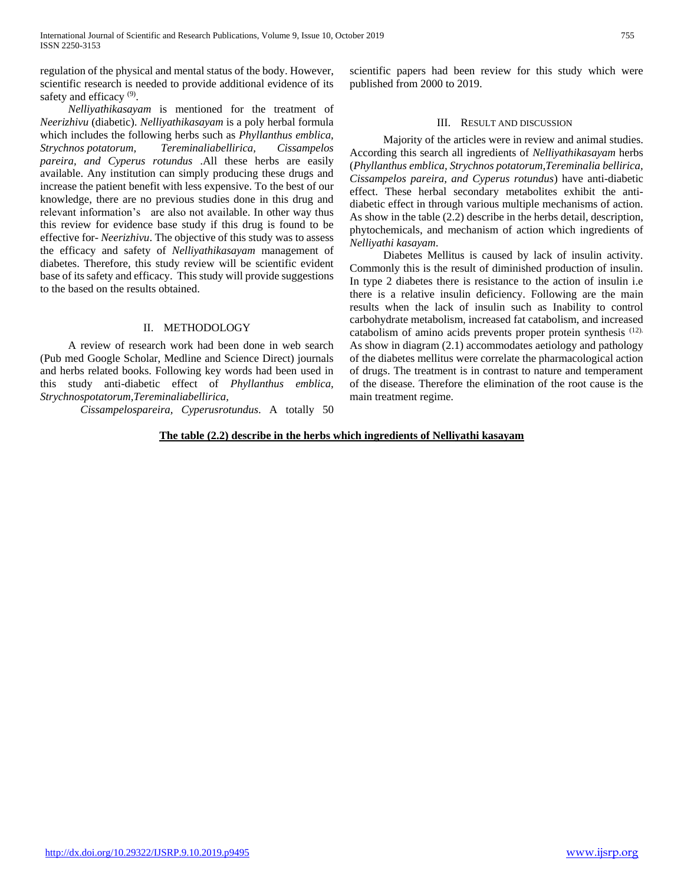regulation of the physical and mental status of the body. However, scientific research is needed to provide additional evidence of its safety and efficacy<sup>(9)</sup>.

 *Nelliyathikasayam* is mentioned for the treatment of *Neerizhivu* (diabetic). *Nelliyathikasayam* is a poly herbal formula which includes the following herbs such as *Phyllanthus emblica, Strychnos potatorum, Tereminaliabellirica, Cissampelos pareira, and Cyperus rotundus* .All these herbs are easily available. Any institution can simply producing these drugs and increase the patient benefit with less expensive. To the best of our knowledge, there are no previous studies done in this drug and relevant information's are also not available. In other way thus this review for evidence base study if this drug is found to be effective for- *Neerizhivu*. The objective of this study was to assess the efficacy and safety of *Nelliyathikasayam* management of diabetes. Therefore, this study review will be scientific evident base of its safety and efficacy. This study will provide suggestions to the based on the results obtained.

## II. METHODOLOGY

 A review of research work had been done in web search (Pub med Google Scholar, Medline and Science Direct) journals and herbs related books. Following key words had been used in this study anti-diabetic effect of *Phyllanthus emblica, Strychnospotatorum,Tereminaliabellirica,*

*Cissampelospareira, Cyperusrotundus*. A totally 50

scientific papers had been review for this study which were published from 2000 to 2019.

## III. RESULT AND DISCUSSION

 Majority of the articles were in review and animal studies. According this search all ingredients of *Nelliyathikasayam* herbs (*Phyllanthus emblica, Strychnos potatorum,Tereminalia bellirica, Cissampelos pareira, and Cyperus rotundus*) have anti-diabetic effect. These herbal secondary metabolites exhibit the antidiabetic effect in through various multiple mechanisms of action. As show in the table (2.2) describe in the herbs detail, description, phytochemicals, and mechanism of action which ingredients of *Nelliyathi kasayam*.

 Diabetes Mellitus is caused by lack of insulin activity. Commonly this is the result of diminished production of insulin. In type 2 diabetes there is resistance to the action of insulin i.e there is a relative insulin deficiency. Following are the main results when the lack of insulin such as Inability to control carbohydrate metabolism, increased fat catabolism, and increased catabolism of amino acids prevents proper protein synthesis (12). As show in diagram (2.1) accommodates aetiology and pathology of the diabetes mellitus were correlate the pharmacological action of drugs. The treatment is in contrast to nature and temperament of the disease. Therefore the elimination of the root cause is the main treatment regime.

### **The table (2.2) describe in the herbs which ingredients of Nelliyathi kasayam**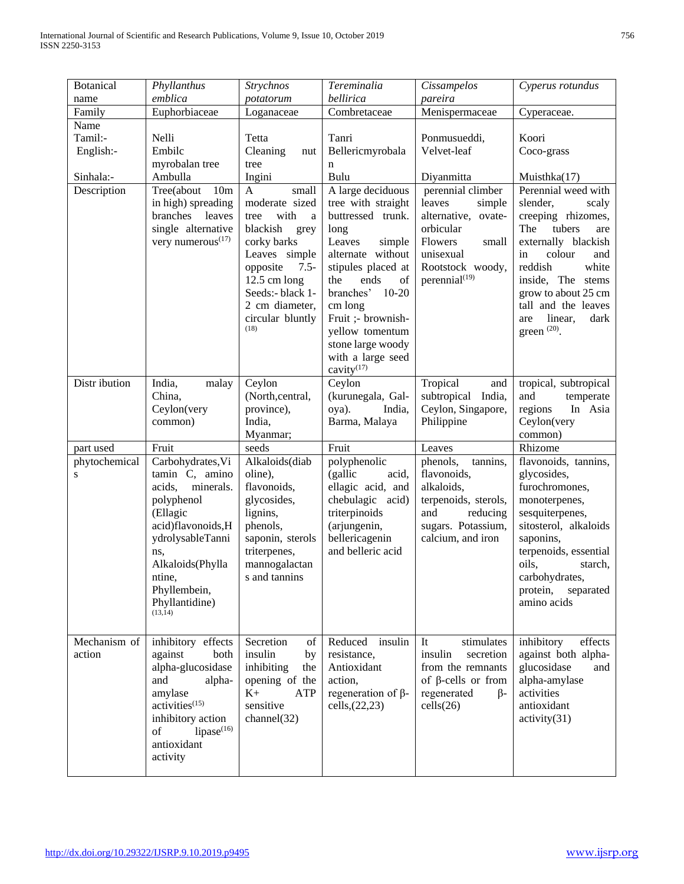| <b>Botanical</b>             | Phyllanthus                           | <b>Strychnos</b>                   | Tereminalia                          | Cissampelos                         | Cyperus rotundus                         |
|------------------------------|---------------------------------------|------------------------------------|--------------------------------------|-------------------------------------|------------------------------------------|
| name                         | emblica                               | potatorum                          | bellirica                            | pareira                             |                                          |
| Family                       | Euphorbiaceae                         | Loganaceae                         | Combretaceae                         | Menispermaceae                      | Cyperaceae.                              |
| Name                         |                                       |                                    |                                      |                                     |                                          |
| Tamil:-                      | Nelli                                 | Tetta                              | Tanri                                | Ponmusueddi,                        | Koori                                    |
| English:-                    | Embilc                                | Cleaning<br>nut                    | Bellericmyrobala                     | Velvet-leaf                         | Coco-grass                               |
| Sinhala:-                    | myrobalan tree<br>Ambulla             | tree<br>Ingini                     | n<br>Bulu                            | Diyanmitta                          | Muisthka $(17)$                          |
| Description                  | Tree(about<br>10 <sub>m</sub>         | $\mathbf{A}$<br>small              | A large deciduous                    | perennial climber                   | Perennial weed with                      |
|                              | in high) spreading                    | moderate sized                     | tree with straight                   | leaves<br>simple                    | slender,<br>scaly                        |
|                              | branches<br>leaves                    | with<br>tree<br>a                  | buttressed trunk.                    | alternative, ovate-                 | creeping rhizomes,                       |
|                              | single alternative                    | blackish<br>grey                   | long                                 | orbicular                           | The<br>tubers<br>are                     |
|                              | very numerous <sup>(17)</sup>         | corky barks                        | Leaves<br>simple                     | Flowers<br>small                    | externally blackish                      |
|                              |                                       | Leaves simple                      | alternate without                    | unisexual                           | in<br>colour<br>and                      |
|                              |                                       | opposite<br>$7.5 -$                | stipules placed at                   | Rootstock woody,                    | reddish<br>white                         |
|                              |                                       | $12.5$ cm long<br>Seeds:- black 1- | the<br>ends<br>of<br>branches' 10-20 | perennial <sup>(19)</sup>           | inside, The stems<br>grow to about 25 cm |
|                              |                                       | 2 cm diameter,                     | cm long                              |                                     | tall and the leaves                      |
|                              |                                       | circular bluntly                   | Fruit ;- brownish-                   |                                     | linear,<br>dark<br>are                   |
|                              |                                       | (18)                               | yellow tomentum                      |                                     | green $^{(20)}$ .                        |
|                              |                                       |                                    | stone large woody                    |                                     |                                          |
|                              |                                       |                                    | with a large seed                    |                                     |                                          |
|                              |                                       |                                    | cavity <sup>(17)</sup>               |                                     |                                          |
| Distr ibution                | India,<br>malay                       | Ceylon                             | Ceylon                               | Tropical<br>and                     | tropical, subtropical                    |
|                              | China,                                | (North, central,                   | (kurunegala, Gal-                    | subtropical India,                  | and<br>temperate                         |
|                              | Ceylon(very<br>common)                | province),<br>India,               | India,<br>oya).<br>Barma, Malaya     | Ceylon, Singapore,<br>Philippine    | In Asia<br>regions<br>Ceylon(very        |
|                              |                                       |                                    |                                      |                                     |                                          |
|                              |                                       |                                    |                                      |                                     |                                          |
|                              |                                       | Myanmar;                           |                                      |                                     | common)                                  |
| part used                    | Fruit                                 | seeds                              | Fruit                                | Leaves                              | Rhizome                                  |
| phytochemical<br>$\mathbf S$ | Carbohydrates, Vi<br>tamin C, amino   | Alkaloids(diab<br>oline),          | polyphenolic<br>(gallic<br>acid,     | phenols,<br>tannins,<br>flavonoids, | flavonoids, tannins,<br>glycosides,      |
|                              | acids,<br>minerals.                   | flavonoids,                        | ellagic acid, and                    | alkaloids,                          | furochromones,                           |
|                              | polyphenol                            | glycosides,                        | chebulagic acid)                     | terpenoids, sterols,                | monoterpenes,                            |
|                              | (Ellagic                              | lignins,                           | triterpinoids                        | and<br>reducing                     | sesquiterpenes,                          |
|                              | acid)flavonoids,H                     | phenols,                           | (arjungenin,                         | sugars. Potassium,                  | sitosterol, alkaloids                    |
|                              | ydrolysableTanni                      | saponin, sterols                   | bellericagenin                       | calcium, and iron                   | saponins,                                |
|                              | ns,                                   | triterpenes,                       | and belleric acid                    |                                     | terpenoids, essential                    |
|                              | Alkaloids(Phylla                      | mannogalactan                      |                                      |                                     | oils,<br>starch,                         |
|                              | ntine,                                | s and tannins                      |                                      |                                     | carbohydrates,                           |
|                              | Phyllembein,<br>Phyllantidine)        |                                    |                                      |                                     | protein,<br>separated<br>amino acids     |
|                              | (13, 14)                              |                                    |                                      |                                     |                                          |
|                              |                                       |                                    |                                      |                                     |                                          |
| Mechanism of                 | inhibitory effects                    | Secretion<br>of                    | Reduced<br>insulin                   | It<br>stimulates                    | inhibitory<br>effects                    |
| action                       | against<br>both                       | insulin<br>by                      | resistance,                          | insulin<br>secretion                | against both alpha-                      |
|                              | alpha-glucosidase                     | inhibiting<br>the                  | Antioxidant                          | from the remnants                   | glucosidase<br>and                       |
|                              | and<br>alpha-                         | opening of the                     | action,                              | of $\beta$ -cells or from           | alpha-amylase                            |
|                              | amylase<br>activities <sup>(15)</sup> | $K+$<br>ATP<br>sensitive           | regeneration of $\beta$ -            | regenerated<br>$\beta$ -            | activities<br>antioxidant                |
|                              | inhibitory action                     | channel(32)                        | cells, (22, 23)                      | cells(26)                           | activity(31)                             |
|                              | lipase $(16)$<br>of                   |                                    |                                      |                                     |                                          |
|                              | antioxidant                           |                                    |                                      |                                     |                                          |
|                              | activity                              |                                    |                                      |                                     |                                          |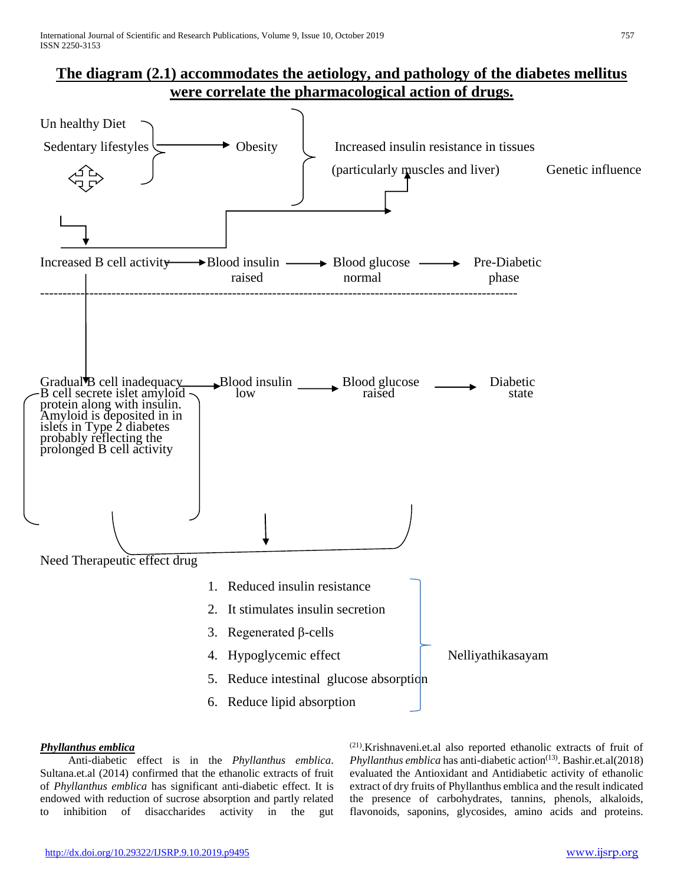## **The diagram (2.1) accommodates the aetiology, and pathology of the diabetes mellitus were correlate the pharmacological action of drugs.**



## *Phyllanthus emblica*

Anti-diabetic effect is in the *Phyllanthus emblica*. Sultana.et.al (2014) confirmed that the ethanolic extracts of fruit of *Phyllanthus emblica* has significant anti-diabetic effect. It is endowed with reduction of sucrose absorption and partly related to inhibition of disaccharides activity in the gut (21).Krishnaveni.et.al also reported ethanolic extracts of fruit of *Phyllanthus emblica* has anti-diabetic action<sup>(13)</sup>. Bashir.et.al(2018) evaluated the Antioxidant and Antidiabetic activity of ethanolic extract of dry fruits of Phyllanthus emblica and the result indicated the presence of carbohydrates, tannins, phenols, alkaloids, flavonoids, saponins, glycosides, amino acids and proteins.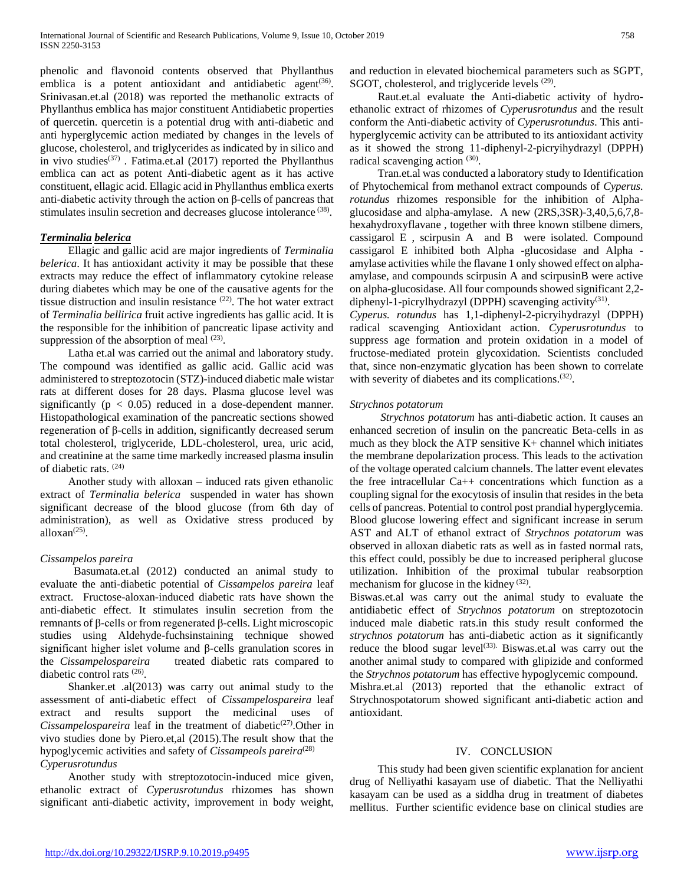phenolic and flavonoid contents observed that Phyllanthus emblica is a potent antioxidant and antidiabetic agent<sup>(36)</sup>. Srinivasan.et.al (2018) was reported the methanolic extracts of Phyllanthus emblica has major constituent Antidiabetic properties of quercetin. quercetin is a potential drug with anti-diabetic and anti hyperglycemic action mediated by changes in the levels of glucose, cholesterol, and triglycerides as indicated by in silico and in vivo studies<sup> $(37)$ </sup>. Fatima.et.al (2017) reported the Phyllanthus emblica can act as potent Anti-diabetic agent as it has active constituent, ellagic acid. Ellagic acid in Phyllanthus emblica exerts anti-diabetic activity through the action on  $\beta$ -cells of pancreas that stimulates insulin secretion and decreases glucose intolerance<sup>(38)</sup>.

## *Terminalia belerica*

Ellagic and gallic acid are major ingredients of *Terminalia belerica*. It has antioxidant activity it may be possible that these extracts may reduce the effect of inflammatory cytokine release during diabetes which may be one of the causative agents for the tissue distruction and insulin resistance (22). The hot water extract of *Terminalia bellirica* fruit active ingredients has gallic acid. It is the responsible for the inhibition of pancreatic lipase activity and suppression of the absorption of meal  $(23)$ .

Latha et.al was carried out the animal and laboratory study. The compound was identified as gallic acid. Gallic acid was administered to streptozotocin (STZ)-induced diabetic male wistar rats at different doses for 28 days. Plasma glucose level was significantly ( $p < 0.05$ ) reduced in a dose-dependent manner. Histopathological examination of the pancreatic sections showed regeneration of β-cells in addition, significantly decreased serum total cholesterol, triglyceride, LDL-cholesterol, urea, uric acid, and creatinine at the same time markedly increased plasma insulin of diabetic rats. (24)

Another study with alloxan – induced rats given ethanolic extract of *Terminalia belerica* suspended in water has shown significant decrease of the blood glucose (from 6th day of administration), as well as Oxidative stress produced by  $\alpha$ lloxan $(25)$ .

## *Cissampelos pareira*

Basumata.et.al (2012) conducted an animal study to evaluate the anti-diabetic potential of *Cissampelos pareira* leaf extract. Fructose-aloxan-induced diabetic rats have shown the anti-diabetic effect. It stimulates insulin secretion from the remnants of β-cells or from regenerated β-cells. Light microscopic studies using Aldehyde-fuchsinstaining technique showed significant higher islet volume and β-cells granulation scores in the *Cissampelospareira* treated diabetic rats compared to diabetic control rats (26) .

Shanker.et .al(2013) was carry out animal study to the assessment of anti-diabetic effect of *Cissampelospareira* leaf extract and results support the medicinal uses of *Cissampelospareira* leaf in the treatment of diabetic<sup>(27)</sup>.Other in vivo studies done by Piero.et,al (2015).The result show that the hypoglycemic activities and safety of *Cissampeols pareira*<sup>(28)</sup> *Cyperusrotundus*

Another study with streptozotocin-induced mice given, ethanolic extract of *Cyperusrotundus* rhizomes has shown significant anti-diabetic activity, improvement in body weight, and reduction in elevated biochemical parameters such as SGPT, SGOT, cholesterol, and triglyceride levels <sup>(29)</sup>.

Raut.et.al evaluate the Anti-diabetic activity of hydroethanolic extract of rhizomes of *Cyperusrotundus* and the result conform the Anti-diabetic activity of *Cyperusrotundus*. This antihyperglycemic activity can be attributed to its antioxidant activity as it showed the strong 11-diphenyl-2-picryihydrazyl (DPPH) radical scavenging action (30).

Tran.et.al was conducted a laboratory study to Identification of Phytochemical from methanol extract compounds of *Cyperus. rotundus* rhizomes responsible for the inhibition of Alphaglucosidase and alpha-amylase. A new (2RS,3SR)-3,40,5,6,7,8 hexahydroxyflavane , together with three known stilbene dimers, cassigarol E , scirpusin A and B were isolated. Compound cassigarol E inhibited both Alpha -glucosidase and Alpha amylase activities while the flavane 1 only showed effect on alphaamylase, and compounds scirpusin A and scirpusinB were active on alpha-glucosidase. All four compounds showed significant 2,2 diphenyl-1-picrylhydrazyl (DPPH) scavenging activity<sup>(31)</sup>.

*Cyperus. rotundus* has 1,1-diphenyl-2-picryihydrazyl (DPPH) radical scavenging Antioxidant action. *Cyperusrotundus* to suppress age formation and protein oxidation in a model of fructose-mediated protein glycoxidation. Scientists concluded that, since non-enzymatic glycation has been shown to correlate with severity of diabetes and its complications.<sup>(32)</sup>.

## *Strychnos potatorum*

 *Strychnos potatorum* has anti-diabetic action. It causes an enhanced secretion of insulin on the pancreatic Beta-cells in as much as they block the ATP sensitive  $K<sub>+</sub>$  channel which initiates the membrane depolarization process. This leads to the activation of the voltage operated calcium channels. The latter event elevates the free intracellular Ca++ concentrations which function as a coupling signal for the exocytosis of insulin that resides in the beta cells of pancreas. Potential to control post prandial hyperglycemia. Blood glucose lowering effect and significant increase in serum AST and ALT of ethanol extract of *Strychnos potatorum* was observed in alloxan diabetic rats as well as in fasted normal rats, this effect could, possibly be due to increased peripheral glucose utilization. Inhibition of the proximal tubular reabsorption mechanism for glucose in the kidney  $(32)$ .

Biswas.et.al was carry out the animal study to evaluate the antidiabetic effect of *Strychnos potatorum* on streptozotocin induced male diabetic rats.in this study result conformed the *strychnos potatorum* has anti-diabetic action as it significantly reduce the blood sugar level<sup>(33).</sup> Biswas.et.al was carry out the another animal study to compared with glipizide and conformed the *Strychnos potatorum* has effective hypoglycemic compound.

Mishra.et.al (2013) reported that the ethanolic extract of Strychnospotatorum showed significant anti-diabetic action and antioxidant.

## IV. CONCLUSION

This study had been given scientific explanation for ancient drug of Nelliyathi kasayam use of diabetic. That the Nelliyathi kasayam can be used as a siddha drug in treatment of diabetes mellitus. Further scientific evidence base on clinical studies are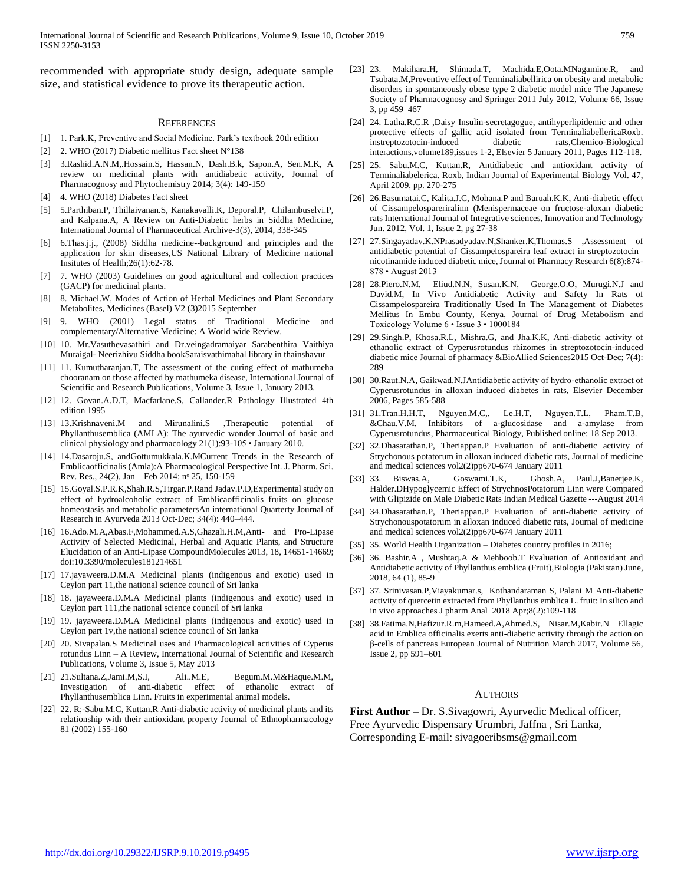recommended with appropriate study design, adequate sample size, and statistical evidence to prove its therapeutic action.

#### **REFERENCES**

- [1] 1. Park.K, Preventive and Social Medicine. Park's textbook 20th edition
- [2] 2. WHO (2017) Diabetic mellitus Fact sheet N°138
- [3] 3.Rashid.A.N.M,.Hossain.S, Hassan.N, Dash.B.k, Sapon.A, Sen.M.K, A review on medicinal plants with antidiabetic activity, Journal of Pharmacognosy and Phytochemistry 2014; 3(4): 149-159
- [4] 4. WHO (2018) Diabetes Fact sheet
- [5] 5.Parthiban.P, Thillaivanan.S, Kanakavalli.K, Deporal.P, Chilambuselvi.P, and Kalpana.A, A Review on Anti-Diabetic herbs in Siddha Medicine, International Journal of Pharmaceutical Archive-3(3), 2014, 338-345
- [6] 6.Thas.j.j., (2008) Siddha medicine--background and principles and the application for skin diseases,US National Library of Medicine national Insitutes of Health;26(1):62-78.
- [7] 7. WHO (2003) Guidelines on good agricultural and collection practices (GACP) for medicinal plants.
- [8] 8. Michael.W, Modes of Action of Herbal Medicines and Plant Secondary Metabolites, Medicines (Basel) V2 (3)2015 September
- [9] 9. WHO (2001) Legal status of Traditional Medicine and complementary/Alternative Medicine: A World wide Review.
- [10] 10. Mr.Vasuthevasathiri and Dr.veingadramaiyar Sarabenthira Vaithiya Muraigal- Neerizhivu Siddha bookSaraisvathimahal library in thainshavur
- [11] 11. Kumutharanjan.T, The assessment of the curing effect of mathumeha chooranam on those affected by mathumeka disease, International Journal of Scientific and Research Publications, Volume 3, Issue 1, January 2013.
- [12] 12. Govan.A.D.T, Macfarlane.S, Callander.R Pathology Illustrated 4th edition 1995
- [13] 13.Krishnaveni.M and Mirunalini.S ,Therapeutic potential of Phyllanthusemblica (AMLA): The ayurvedic wonder Journal of basic and clinical physiology and pharmacology 21(1):93-105 • January 2010.
- [14] 14.Dasaroju.S, andGottumukkala.K.MCurrent Trends in the Research of Emblicaofficinalis (Amla):A Pharmacological Perspective Int. J. Pharm. Sci. Rev. Res., 24(2), Jan – Feb 2014; nᵒ 25, 150-159
- [15] 15.Goyal.S.P.R.K,Shah.R.S,Tirgar.P.Rand Jadav.P.D,Experimental study on effect of hydroalcoholic extract of Emblicaofficinalis fruits on glucose homeostasis and metabolic parametersAn international Quarterty Journal of Research in Ayurveda 2013 Oct-Dec; 34(4): 440–444.
- [16] 16.Ado.M.A,Abas.F,Mohammed.A.S,Ghazali.H.M,Anti- and Pro-Lipase Activity of Selected Medicinal, Herbal and Aquatic Plants, and Structure Elucidation of an Anti-Lipase CompoundMolecules 2013, 18, 14651-14669; doi:10.3390/molecules181214651
- [17] 17.jayaweera.D.M.A Medicinal plants (indigenous and exotic) used in Ceylon part 11,the national science council of Sri lanka
- [18] 18. jayaweera.D.M.A Medicinal plants (indigenous and exotic) used in Ceylon part 111,the national science council of Sri lanka
- [19] 19. jayaweera.D.M.A Medicinal plants (indigenous and exotic) used in Ceylon part 1v,the national science council of Sri lanka
- [20] 20. Sivapalan.S Medicinal uses and Pharmacological activities of Cyperus rotundus Linn – A Review, International Journal of Scientific and Research Publications, Volume 3, Issue 5, May 2013
- [21] 21.Sultana.Z,Jami.M,S.I, Ali..M.E, Begum.M.M&Haque.M.M, Investigation of anti-diabetic effect of ethanolic extract of Phyllanthusemblica Linn. Fruits in experimental animal models.
- [22] 22. R;-Sabu.M.C, Kuttan.R Anti-diabetic activity of medicinal plants and its relationship with their antioxidant property Journal of Ethnopharmacology 81 (2002) 155-160
- [23] 23. Makihara.H, Shimada.T, Machida.E,Oota.MNagamine.R, and Tsubata.M,Preventive effect of Terminaliabellirica on obesity and metabolic disorders in spontaneously obese type 2 diabetic model mice The Japanese Society of Pharmacognosy and Springer 2011 July 2012, Volume 66, Issue 3, pp 459–467
- [24] 24. Latha.R.C.R ,Daisy Insulin-secretagogue, antihyperlipidemic and other protective effects of gallic acid isolated from TerminaliabellericaRoxb. instreptozotocin-induced diabetic rats,Chemico-Biological interactions,volume189,issues 1-2, Elsevier 5 January 2011, Pages 112-118.
- [25] 25. Sabu.M.C, Kuttan.R, Antidiabetic and antioxidant activity of Terminaliabelerica. Roxb, Indian Journal of Experimental Biology Vol. 47, April 2009, pp. 270-275
- [26] 26.Basumatai.C, Kalita.J.C, Mohana.P and Baruah.K.K, Anti-diabetic effect of Cissampelospareriralinn (Menispermaceae on fructose-aloxan diabetic rats International Journal of Integrative sciences, Innovation and Technology Jun. 2012, Vol. 1, Issue 2, pg 27-38
- [27] 27.Singayadav.K.NPrasadyadav.N,Shanker.K,Thomas.S ,Assessment of antidiabetic potential of Cissampelospareira leaf extract in streptozotocin– nicotinamide induced diabetic mice, Journal of Pharmacy Research 6(8):874- 878 • August 2013
- [28] 28.Piero.N.M, Eliud.N.N, Susan.K.N, George.O.O, Murugi.N.J and David.M, In Vivo Antidiabetic Activity and Safety In Rats of Cissampelospareira Traditionally Used In The Management of Diabetes Mellitus In Embu County, Kenya, Journal of Drug Metabolism and Toxicology Volume 6 • Issue 3 • 1000184
- [29] 29.Singh.P, Khosa.R.L, Mishra.G, and Jha.K.K, Anti-diabetic activity of ethanolic extract of Cyperusrotundus rhizomes in streptozotocin-induced diabetic mice Journal of pharmacy &BioAllied Sciences2015 Oct-Dec; 7(4): 289
- [30] 30.Raut.N.A, Gaikwad.N.JAntidiabetic activity of hydro-ethanolic extract of Cyperusrotundus in alloxan induced diabetes in rats, Elsevier December 2006, Pages 585-588
- [31] 31.Tran.H.H.T, Nguyen.M.C,, Le.H.T, Nguyen.T.L, Pham.T.B, &Chau.V.M, Inhibitors of a-glucosidase and a-amylase from Cyperusrotundus, Pharmaceutical Biology, Published online: 18 Sep 2013.
- [32] 32.Dhasarathan.P, Theriappan.P Evaluation of anti-diabetic activity of Strychonous potatorum in alloxan induced diabetic rats, Journal of medicine and medical sciences vol2(2)pp670-674 January 2011
- [33] 33. Biswas.A, Goswami.T.K, Ghosh.A, Paul.J,Banerjee.K, Halder.DHypoglycemic Effect of StrychnosPotatorum Linn were Compared with Glipizide on Male Diabetic Rats Indian Medical Gazette ---August 2014
- [34] 34.Dhasarathan.P, Theriappan.P Evaluation of anti-diabetic activity of Strychonouspotatorum in alloxan induced diabetic rats, Journal of medicine and medical sciences vol2(2)pp670-674 January 2011
- [35] 35. World Health Organization Diabetes country profiles in 2016;
- [36] 36. Bashir.A , Mushtaq.A & Mehboob.T Evaluation of Antioxidant and Antidiabetic activity of Phyllanthus emblica (Fruit),Biologia (Pakistan) June, 2018, 64 (1), 85-9
- [37] 37. Srinivasan.P,Viayakumar.s, Kothandaraman S, Palani M Anti-diabetic activity of quercetin extracted from Phyllanthus emblica L. fruit: In silico and in vivo approaches J pharm Anal 2018 Apr;8(2):109-118
- [38] 38.Fatima.N,Hafizur.R.m,Hameed.A,Ahmed.S, Nisar.M,Kabir.N Ellagic acid in Emblica officinalis exerts anti-diabetic activity through the action on β-cells of pancreas European Journal of Nutrition March 2017, Volume 56, Issue 2, pp 591–601

#### AUTHORS

**First Author** – Dr. S.Sivagowri, Ayurvedic Medical officer, Free Ayurvedic Dispensary Urumbri, Jaffna , Sri Lanka, Corresponding E-mail: sivagoeribsms@gmail.com